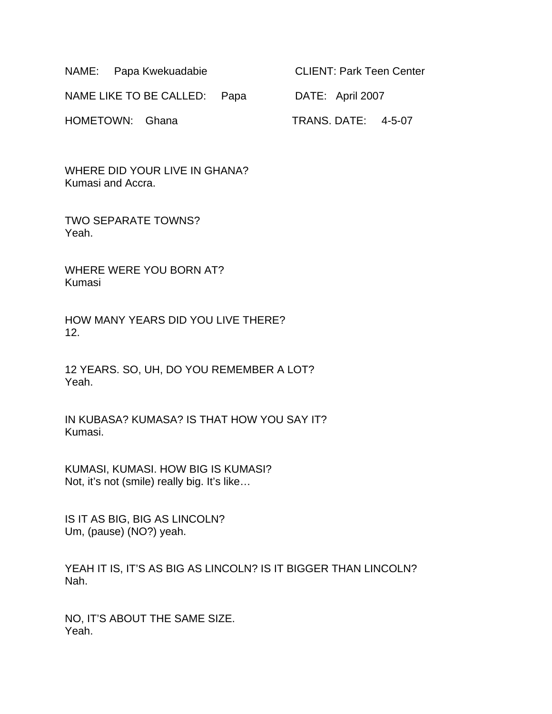NAME: Papa Kwekuadabie CLIENT: Park Teen Center

NAME LIKE TO BE CALLED: Papa DATE: April 2007

WHERE DID YOUR LIVE IN GHANA? Kumasi and Accra.

TWO SEPARATE TOWNS? Yeah.

WHERE WERE YOU BORN AT? Kumasi

HOW MANY YEARS DID YOU LIVE THERE? 12.

12 YEARS. SO, UH, DO YOU REMEMBER A LOT? Yeah.

IN KUBASA? KUMASA? IS THAT HOW YOU SAY IT? Kumasi.

KUMASI, KUMASI. HOW BIG IS KUMASI? Not, it's not (smile) really big. It's like…

IS IT AS BIG, BIG AS LINCOLN? Um, (pause) (NO?) yeah.

YEAH IT IS, IT'S AS BIG AS LINCOLN? IS IT BIGGER THAN LINCOLN? Nah.

NO, IT'S ABOUT THE SAME SIZE. Yeah.

HOMETOWN: Ghana TRANS. DATE: 4-5-07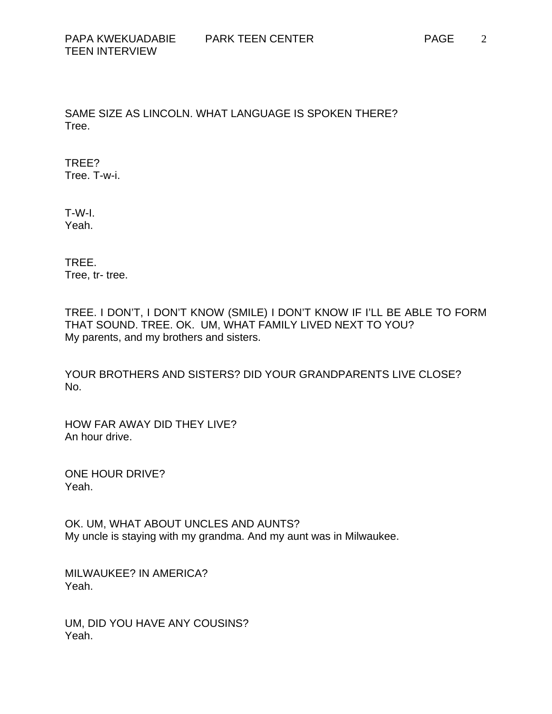SAME SIZE AS LINCOLN. WHAT LANGUAGE IS SPOKEN THERE? Tree.

TREE? Tree. T-w-i.

T-W-I. Yeah.

TREE. Tree, tr- tree.

TREE. I DON'T, I DON'T KNOW (SMILE) I DON'T KNOW IF I'LL BE ABLE TO FORM THAT SOUND. TREE. OK. UM, WHAT FAMILY LIVED NEXT TO YOU? My parents, and my brothers and sisters.

YOUR BROTHERS AND SISTERS? DID YOUR GRANDPARENTS LIVE CLOSE? No.

HOW FAR AWAY DID THEY LIVE? An hour drive.

ONE HOUR DRIVE? Yeah.

OK. UM, WHAT ABOUT UNCLES AND AUNTS? My uncle is staying with my grandma. And my aunt was in Milwaukee.

MILWAUKEE? IN AMERICA? Yeah.

UM, DID YOU HAVE ANY COUSINS? Yeah.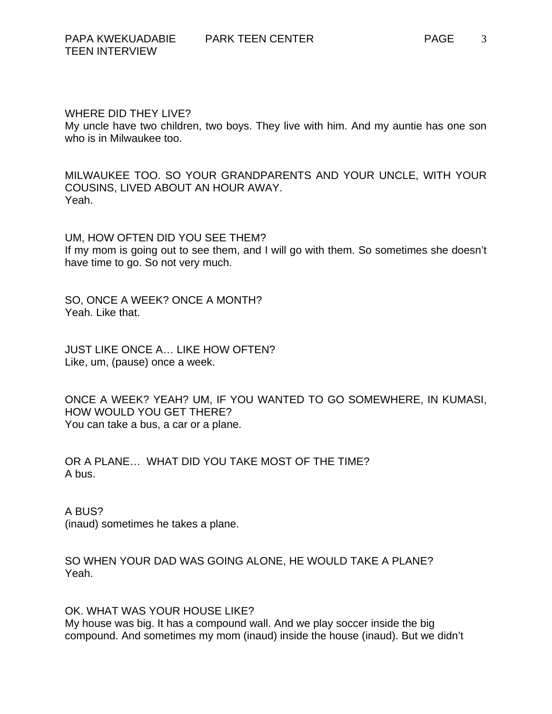#### WHERE DID THEY LIVE?

My uncle have two children, two boys. They live with him. And my auntie has one son who is in Milwaukee too.

MILWAUKEE TOO. SO YOUR GRANDPARENTS AND YOUR UNCLE, WITH YOUR COUSINS, LIVED ABOUT AN HOUR AWAY. Yeah.

UM, HOW OFTEN DID YOU SEE THEM? If my mom is going out to see them, and I will go with them. So sometimes she doesn't have time to go. So not very much.

SO, ONCE A WEEK? ONCE A MONTH? Yeah. Like that.

JUST LIKE ONCE A… LIKE HOW OFTEN? Like, um, (pause) once a week.

ONCE A WEEK? YEAH? UM, IF YOU WANTED TO GO SOMEWHERE, IN KUMASI, HOW WOULD YOU GET THERE? You can take a bus, a car or a plane.

OR A PLANE… WHAT DID YOU TAKE MOST OF THE TIME? A bus.

A BUS?

(inaud) sometimes he takes a plane.

SO WHEN YOUR DAD WAS GOING ALONE, HE WOULD TAKE A PLANE? Yeah.

### OK. WHAT WAS YOUR HOUSE LIKE?

My house was big. It has a compound wall. And we play soccer inside the big compound. And sometimes my mom (inaud) inside the house (inaud). But we didn't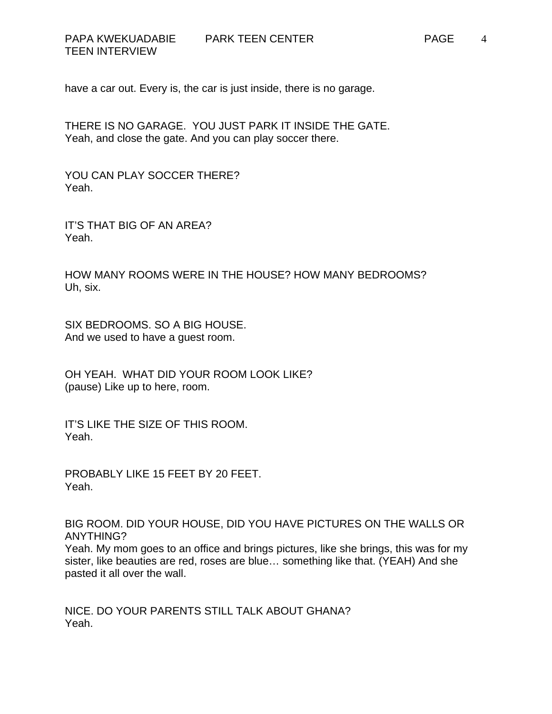have a car out. Every is, the car is just inside, there is no garage.

THERE IS NO GARAGE. YOU JUST PARK IT INSIDE THE GATE. Yeah, and close the gate. And you can play soccer there.

YOU CAN PLAY SOCCER THERE? Yeah.

IT'S THAT BIG OF AN AREA? Yeah.

HOW MANY ROOMS WERE IN THE HOUSE? HOW MANY BEDROOMS? Uh, six.

SIX BEDROOMS. SO A BIG HOUSE. And we used to have a guest room.

OH YEAH. WHAT DID YOUR ROOM LOOK LIKE? (pause) Like up to here, room.

IT'S LIKE THE SIZE OF THIS ROOM. Yeah.

PROBABLY LIKE 15 FEET BY 20 FEET. Yeah.

BIG ROOM. DID YOUR HOUSE, DID YOU HAVE PICTURES ON THE WALLS OR ANYTHING?

Yeah. My mom goes to an office and brings pictures, like she brings, this was for my sister, like beauties are red, roses are blue… something like that. (YEAH) And she pasted it all over the wall.

NICE. DO YOUR PARENTS STILL TALK ABOUT GHANA? Yeah.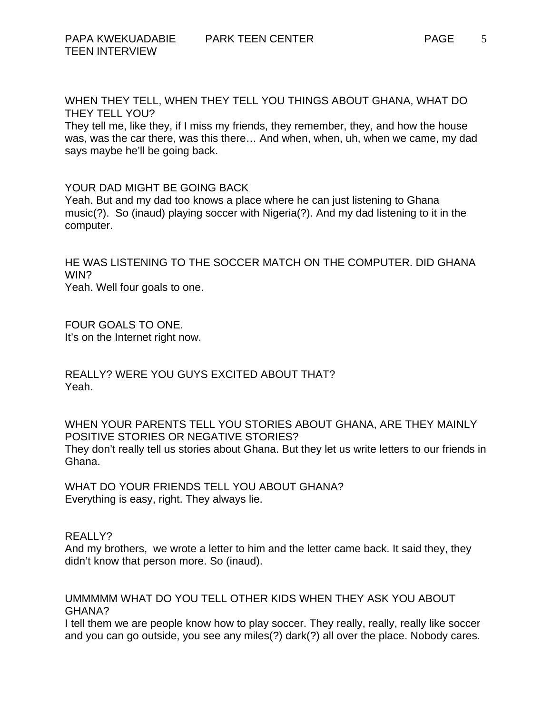WHEN THEY TELL, WHEN THEY TELL YOU THINGS ABOUT GHANA, WHAT DO THEY TELL YOU?

They tell me, like they, if I miss my friends, they remember, they, and how the house was, was the car there, was this there… And when, when, uh, when we came, my dad says maybe he'll be going back.

### YOUR DAD MIGHT BE GOING BACK

Yeah. But and my dad too knows a place where he can just listening to Ghana music(?). So (inaud) playing soccer with Nigeria(?). And my dad listening to it in the computer.

HE WAS LISTENING TO THE SOCCER MATCH ON THE COMPUTER. DID GHANA WIN?

Yeah. Well four goals to one.

FOUR GOALS TO ONE. It's on the Internet right now.

REALLY? WERE YOU GUYS EXCITED ABOUT THAT? Yeah.

WHEN YOUR PARENTS TELL YOU STORIES ABOUT GHANA, ARE THEY MAINLY POSITIVE STORIES OR NEGATIVE STORIES? They don't really tell us stories about Ghana. But they let us write letters to our friends in Ghana.

WHAT DO YOUR FRIENDS TELL YOU ABOUT GHANA? Everything is easy, right. They always lie.

#### REALLY?

And my brothers, we wrote a letter to him and the letter came back. It said they, they didn't know that person more. So (inaud).

# UMMMMM WHAT DO YOU TELL OTHER KIDS WHEN THEY ASK YOU ABOUT GHANA?

I tell them we are people know how to play soccer. They really, really, really like soccer and you can go outside, you see any miles(?) dark(?) all over the place. Nobody cares.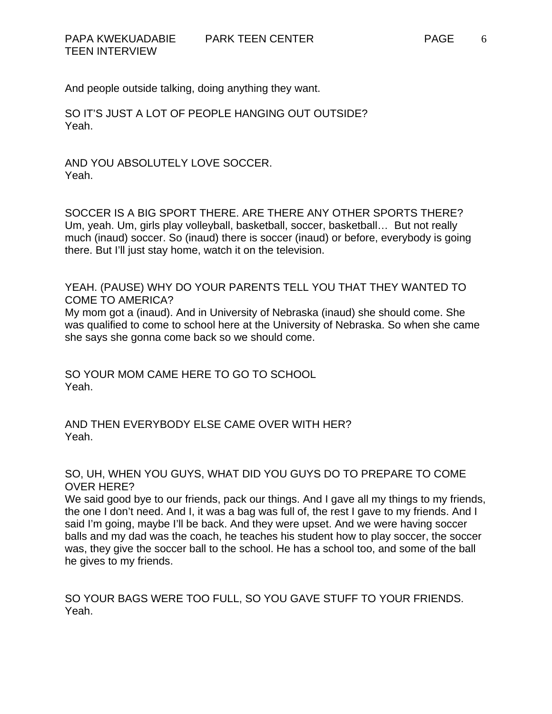And people outside talking, doing anything they want.

SO IT'S JUST A LOT OF PEOPLE HANGING OUT OUTSIDE? Yeah.

AND YOU ABSOLUTELY LOVE SOCCER. Yeah.

SOCCER IS A BIG SPORT THERE. ARE THERE ANY OTHER SPORTS THERE? Um, yeah. Um, girls play volleyball, basketball, soccer, basketball… But not really much (inaud) soccer. So (inaud) there is soccer (inaud) or before, everybody is going there. But I'll just stay home, watch it on the television.

YEAH. (PAUSE) WHY DO YOUR PARENTS TELL YOU THAT THEY WANTED TO COME TO AMERICA?

My mom got a (inaud). And in University of Nebraska (inaud) she should come. She was qualified to come to school here at the University of Nebraska. So when she came she says she gonna come back so we should come.

SO YOUR MOM CAME HERE TO GO TO SCHOOL Yeah.

AND THEN EVERYBODY ELSE CAME OVER WITH HER? Yeah.

SO, UH, WHEN YOU GUYS, WHAT DID YOU GUYS DO TO PREPARE TO COME OVER HERE?

We said good bye to our friends, pack our things. And I gave all my things to my friends, the one I don't need. And I, it was a bag was full of, the rest I gave to my friends. And I said I'm going, maybe I'll be back. And they were upset. And we were having soccer balls and my dad was the coach, he teaches his student how to play soccer, the soccer was, they give the soccer ball to the school. He has a school too, and some of the ball he gives to my friends.

SO YOUR BAGS WERE TOO FULL, SO YOU GAVE STUFF TO YOUR FRIENDS. Yeah.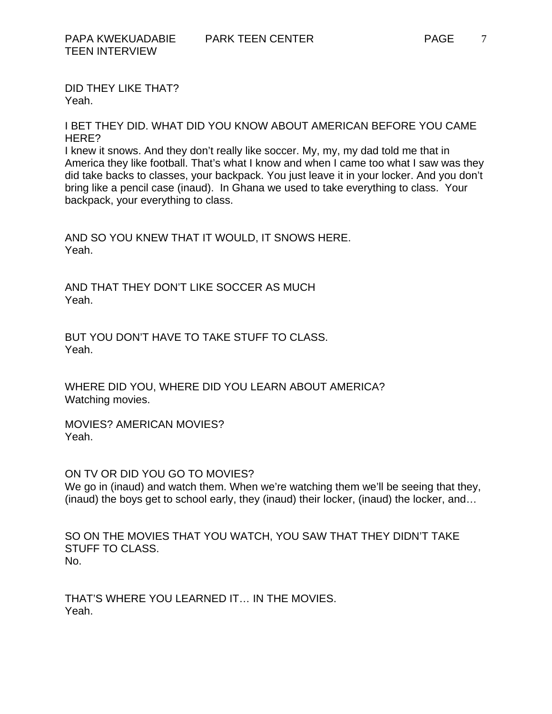DID THEY LIKE THAT? Yeah.

I BET THEY DID. WHAT DID YOU KNOW ABOUT AMERICAN BEFORE YOU CAME HERE?

I knew it snows. And they don't really like soccer. My, my, my dad told me that in America they like football. That's what I know and when I came too what I saw was they did take backs to classes, your backpack. You just leave it in your locker. And you don't bring like a pencil case (inaud). In Ghana we used to take everything to class. Your backpack, your everything to class.

AND SO YOU KNEW THAT IT WOULD, IT SNOWS HERE. Yeah.

AND THAT THEY DON'T LIKE SOCCER AS MUCH Yeah.

BUT YOU DON'T HAVE TO TAKE STUFF TO CLASS. Yeah.

WHERE DID YOU, WHERE DID YOU LEARN ABOUT AMERICA? Watching movies.

MOVIES? AMERICAN MOVIES? Yeah.

ON TV OR DID YOU GO TO MOVIES? We go in (inaud) and watch them. When we're watching them we'll be seeing that they, (inaud) the boys get to school early, they (inaud) their locker, (inaud) the locker, and…

SO ON THE MOVIES THAT YOU WATCH, YOU SAW THAT THEY DIDN'T TAKE STUFF TO CLASS. No.

THAT'S WHERE YOU LEARNED IT… IN THE MOVIES. Yeah.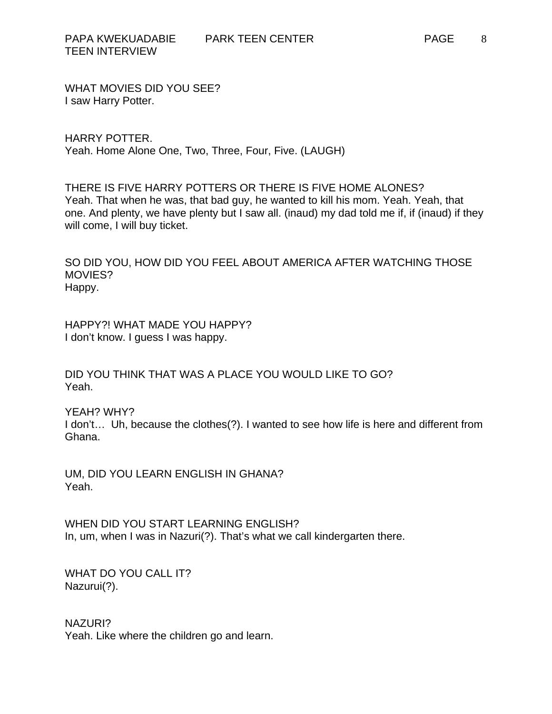WHAT MOVIES DID YOU SEE? I saw Harry Potter.

HARRY POTTER. Yeah. Home Alone One, Two, Three, Four, Five. (LAUGH)

THERE IS FIVE HARRY POTTERS OR THERE IS FIVE HOME ALONES? Yeah. That when he was, that bad guy, he wanted to kill his mom. Yeah. Yeah, that one. And plenty, we have plenty but I saw all. (inaud) my dad told me if, if (inaud) if they will come, I will buy ticket.

SO DID YOU, HOW DID YOU FEEL ABOUT AMERICA AFTER WATCHING THOSE MOVIES? Happy.

HAPPY?! WHAT MADE YOU HAPPY? I don't know. I guess I was happy.

DID YOU THINK THAT WAS A PLACE YOU WOULD LIKE TO GO? Yeah.

YEAH? WHY?

I don't… Uh, because the clothes(?). I wanted to see how life is here and different from Ghana.

UM, DID YOU LEARN ENGLISH IN GHANA? Yeah.

WHEN DID YOU START LEARNING ENGLISH? In, um, when I was in Nazuri(?). That's what we call kindergarten there.

WHAT DO YOU CALL IT? Nazurui(?).

NAZURI? Yeah. Like where the children go and learn.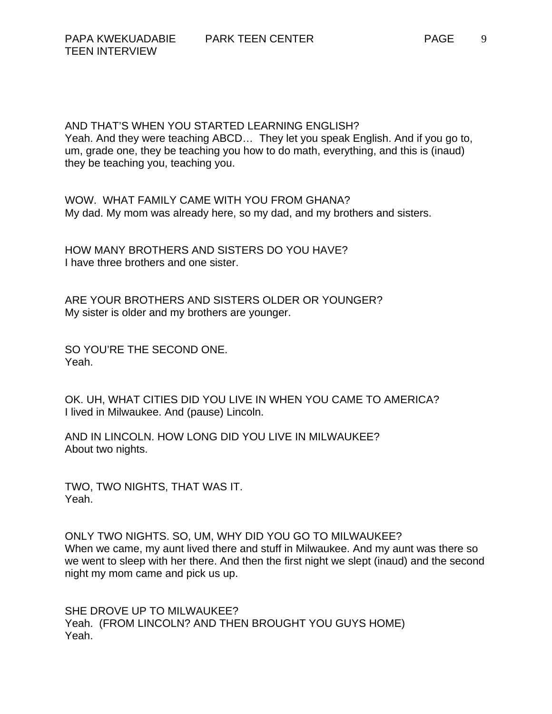AND THAT'S WHEN YOU STARTED LEARNING ENGLISH? Yeah. And they were teaching ABCD… They let you speak English. And if you go to, um, grade one, they be teaching you how to do math, everything, and this is (inaud) they be teaching you, teaching you.

WOW. WHAT FAMILY CAME WITH YOU FROM GHANA? My dad. My mom was already here, so my dad, and my brothers and sisters.

HOW MANY BROTHERS AND SISTERS DO YOU HAVE? I have three brothers and one sister.

ARE YOUR BROTHERS AND SISTERS OLDER OR YOUNGER? My sister is older and my brothers are younger.

SO YOU'RE THE SECOND ONE. Yeah.

OK. UH, WHAT CITIES DID YOU LIVE IN WHEN YOU CAME TO AMERICA? I lived in Milwaukee. And (pause) Lincoln.

AND IN LINCOLN. HOW LONG DID YOU LIVE IN MILWAUKEE? About two nights.

TWO, TWO NIGHTS, THAT WAS IT. Yeah.

ONLY TWO NIGHTS. SO, UM, WHY DID YOU GO TO MILWAUKEE? When we came, my aunt lived there and stuff in Milwaukee. And my aunt was there so we went to sleep with her there. And then the first night we slept (inaud) and the second night my mom came and pick us up.

SHE DROVE UP TO MILWAUKEE? Yeah. (FROM LINCOLN? AND THEN BROUGHT YOU GUYS HOME) Yeah.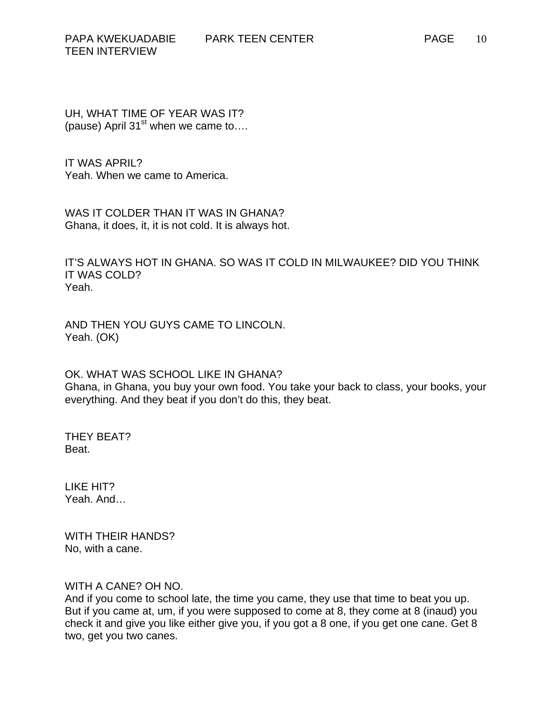UH, WHAT TIME OF YEAR WAS IT? (pause) April 31 $\mathrm{^{st}}$  when we came to....

IT WAS APRIL? Yeah. When we came to America.

WAS IT COLDER THAN IT WAS IN GHANA? Ghana, it does, it, it is not cold. It is always hot.

IT'S ALWAYS HOT IN GHANA. SO WAS IT COLD IN MILWAUKEE? DID YOU THINK IT WAS COLD? Yeah.

AND THEN YOU GUYS CAME TO LINCOLN. Yeah. (OK)

OK. WHAT WAS SCHOOL LIKE IN GHANA? Ghana, in Ghana, you buy your own food. You take your back to class, your books, your everything. And they beat if you don't do this, they beat.

THEY BEAT? Beat.

LIKE HIT? Yeah. And…

WITH THEIR HANDS? No, with a cane.

# WITH A CANE? OH NO.

And if you come to school late, the time you came, they use that time to beat you up. But if you came at, um, if you were supposed to come at 8, they come at 8 (inaud) you check it and give you like either give you, if you got a 8 one, if you get one cane. Get 8 two, get you two canes.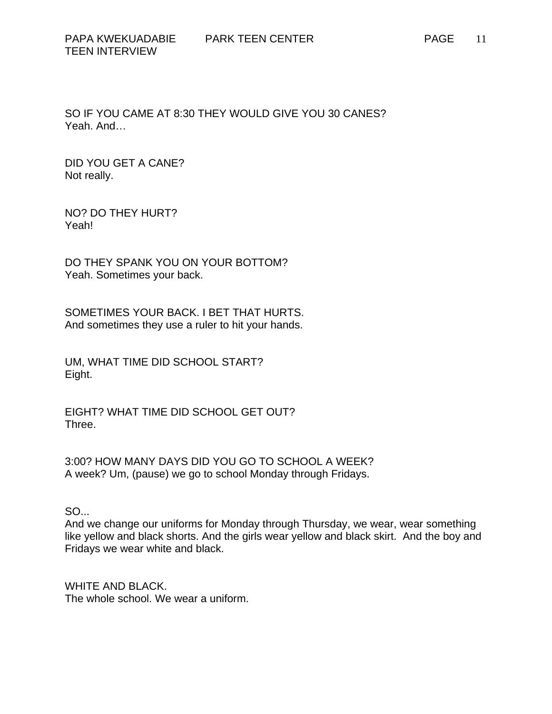SO IF YOU CAME AT 8:30 THEY WOULD GIVE YOU 30 CANES? Yeah. And…

DID YOU GET A CANE? Not really.

NO? DO THEY HURT? Yeah!

DO THEY SPANK YOU ON YOUR BOTTOM? Yeah. Sometimes your back.

SOMETIMES YOUR BACK. I BET THAT HURTS. And sometimes they use a ruler to hit your hands.

UM, WHAT TIME DID SCHOOL START? Eight.

EIGHT? WHAT TIME DID SCHOOL GET OUT? Three.

3:00? HOW MANY DAYS DID YOU GO TO SCHOOL A WEEK? A week? Um, (pause) we go to school Monday through Fridays.

SO...

And we change our uniforms for Monday through Thursday, we wear, wear something like yellow and black shorts. And the girls wear yellow and black skirt. And the boy and Fridays we wear white and black.

WHITE AND BLACK. The whole school. We wear a uniform.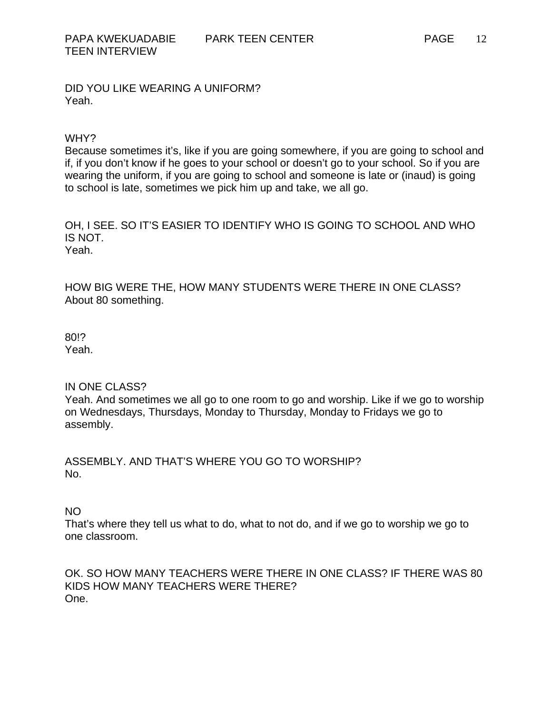DID YOU LIKE WEARING A UNIFORM? Yeah.

#### WHY?

Because sometimes it's, like if you are going somewhere, if you are going to school and if, if you don't know if he goes to your school or doesn't go to your school. So if you are wearing the uniform, if you are going to school and someone is late or (inaud) is going to school is late, sometimes we pick him up and take, we all go.

OH, I SEE. SO IT'S EASIER TO IDENTIFY WHO IS GOING TO SCHOOL AND WHO IS NOT.

Yeah.

HOW BIG WERE THE, HOW MANY STUDENTS WERE THERE IN ONE CLASS? About 80 something.

80!? Yeah.

# IN ONE CLASS?

Yeah. And sometimes we all go to one room to go and worship. Like if we go to worship on Wednesdays, Thursdays, Monday to Thursday, Monday to Fridays we go to assembly.

ASSEMBLY. AND THAT'S WHERE YOU GO TO WORSHIP? No.

NO

That's where they tell us what to do, what to not do, and if we go to worship we go to one classroom.

OK. SO HOW MANY TEACHERS WERE THERE IN ONE CLASS? IF THERE WAS 80 KIDS HOW MANY TEACHERS WERE THERE? One.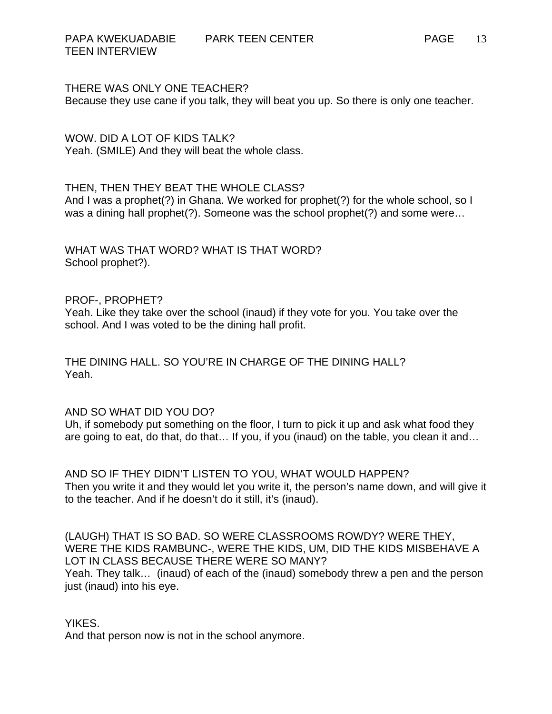THERE WAS ONLY ONE TEACHER? Because they use cane if you talk, they will beat you up. So there is only one teacher.

WOW. DID A LOT OF KIDS TALK? Yeah. (SMILE) And they will beat the whole class.

# THEN, THEN THEY BEAT THE WHOLE CLASS?

And I was a prophet(?) in Ghana. We worked for prophet(?) for the whole school, so I was a dining hall prophet(?). Someone was the school prophet(?) and some were…

WHAT WAS THAT WORD? WHAT IS THAT WORD? School prophet?).

### PROF-, PROPHET?

Yeah. Like they take over the school (inaud) if they vote for you. You take over the school. And I was voted to be the dining hall profit.

THE DINING HALL. SO YOU'RE IN CHARGE OF THE DINING HALL? Yeah.

# AND SO WHAT DID YOU DO?

Uh, if somebody put something on the floor, I turn to pick it up and ask what food they are going to eat, do that, do that… If you, if you (inaud) on the table, you clean it and…

AND SO IF THEY DIDN'T LISTEN TO YOU, WHAT WOULD HAPPEN? Then you write it and they would let you write it, the person's name down, and will give it to the teacher. And if he doesn't do it still, it's (inaud).

(LAUGH) THAT IS SO BAD. SO WERE CLASSROOMS ROWDY? WERE THEY, WERE THE KIDS RAMBUNC-, WERE THE KIDS, UM, DID THE KIDS MISBEHAVE A LOT IN CLASS BECAUSE THERE WERE SO MANY? Yeah. They talk… (inaud) of each of the (inaud) somebody threw a pen and the person just (inaud) into his eye.

# YIKES.

And that person now is not in the school anymore.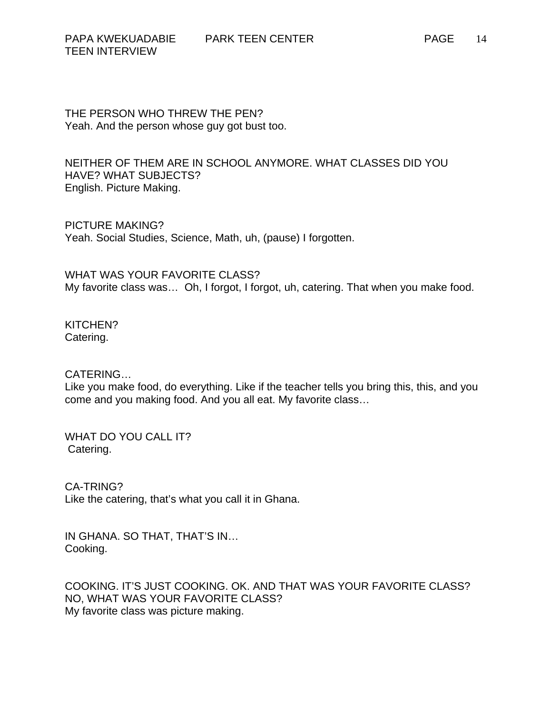THE PERSON WHO THREW THE PEN? Yeah. And the person whose guy got bust too.

NEITHER OF THEM ARE IN SCHOOL ANYMORE. WHAT CLASSES DID YOU HAVE? WHAT SUBJECTS? English. Picture Making.

PICTURE MAKING? Yeah. Social Studies, Science, Math, uh, (pause) I forgotten.

WHAT WAS YOUR FAVORITE CLASS? My favorite class was… Oh, I forgot, I forgot, uh, catering. That when you make food.

KITCHEN? Catering.

CATERING…

Like you make food, do everything. Like if the teacher tells you bring this, this, and you come and you making food. And you all eat. My favorite class…

WHAT DO YOU CALL IT? Catering.

CA-TRING? Like the catering, that's what you call it in Ghana.

IN GHANA. SO THAT, THAT'S IN… Cooking.

COOKING. IT'S JUST COOKING. OK. AND THAT WAS YOUR FAVORITE CLASS? NO, WHAT WAS YOUR FAVORITE CLASS? My favorite class was picture making.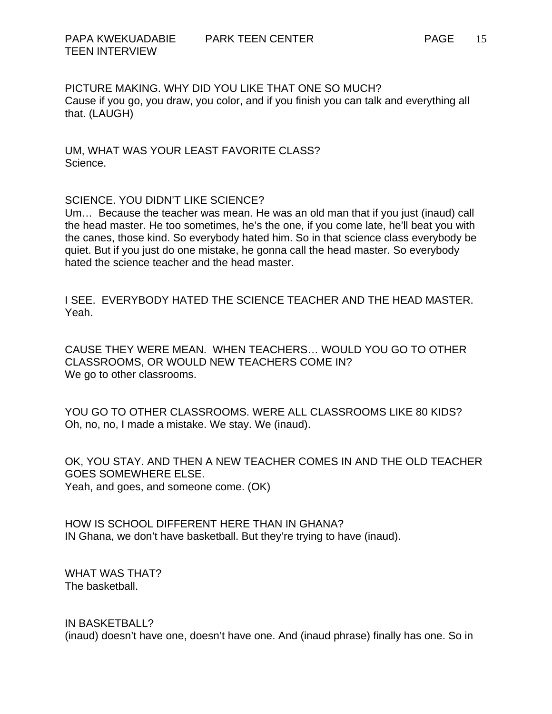PICTURE MAKING. WHY DID YOU LIKE THAT ONE SO MUCH? Cause if you go, you draw, you color, and if you finish you can talk and everything all that. (LAUGH)

UM, WHAT WAS YOUR LEAST FAVORITE CLASS? Science.

#### SCIENCE. YOU DIDN'T LIKE SCIENCE?

Um… Because the teacher was mean. He was an old man that if you just (inaud) call the head master. He too sometimes, he's the one, if you come late, he'll beat you with the canes, those kind. So everybody hated him. So in that science class everybody be quiet. But if you just do one mistake, he gonna call the head master. So everybody hated the science teacher and the head master.

I SEE. EVERYBODY HATED THE SCIENCE TEACHER AND THE HEAD MASTER. Yeah.

CAUSE THEY WERE MEAN. WHEN TEACHERS… WOULD YOU GO TO OTHER CLASSROOMS, OR WOULD NEW TEACHERS COME IN? We go to other classrooms.

YOU GO TO OTHER CLASSROOMS. WERE ALL CLASSROOMS LIKE 80 KIDS? Oh, no, no, I made a mistake. We stay. We (inaud).

OK, YOU STAY. AND THEN A NEW TEACHER COMES IN AND THE OLD TEACHER GOES SOMEWHERE ELSE. Yeah, and goes, and someone come. (OK)

HOW IS SCHOOL DIFFERENT HERE THAN IN GHANA? IN Ghana, we don't have basketball. But they're trying to have (inaud).

WHAT WAS THAT? The basketball.

IN BASKETBALL? (inaud) doesn't have one, doesn't have one. And (inaud phrase) finally has one. So in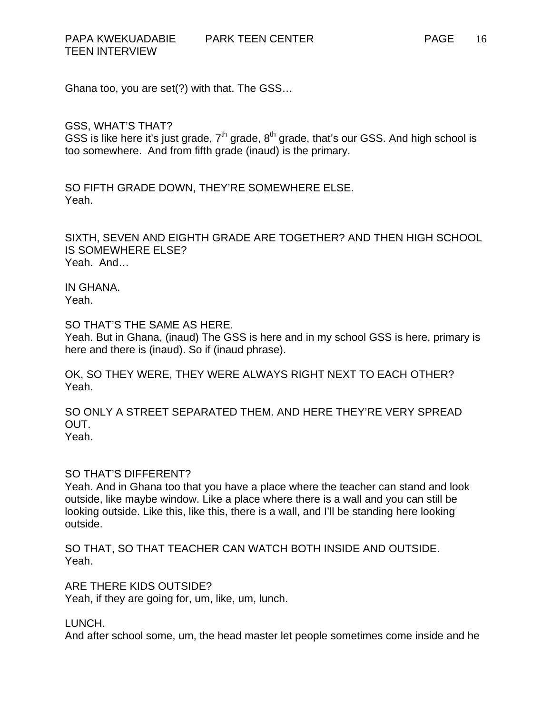TEEN INTERVIEW

Ghana too, you are set(?) with that. The GSS…

GSS, WHAT'S THAT?

GSS is like here it's just grade,  $7<sup>th</sup>$  grade,  $8<sup>th</sup>$  grade, that's our GSS. And high school is too somewhere. And from fifth grade (inaud) is the primary.

SO FIFTH GRADE DOWN, THEY'RE SOMEWHERE ELSE. Yeah.

SIXTH, SEVEN AND EIGHTH GRADE ARE TOGETHER? AND THEN HIGH SCHOOL IS SOMEWHERE ELSE? Yeah. And…

IN GHANA. Yeah.

SO THAT'S THE SAME AS HERE.

Yeah. But in Ghana, (inaud) The GSS is here and in my school GSS is here, primary is here and there is (inaud). So if (inaud phrase).

OK, SO THEY WERE, THEY WERE ALWAYS RIGHT NEXT TO EACH OTHER? Yeah.

SO ONLY A STREET SEPARATED THEM. AND HERE THEY'RE VERY SPREAD OUT. Yeah.

SO THAT'S DIFFERENT?

Yeah. And in Ghana too that you have a place where the teacher can stand and look outside, like maybe window. Like a place where there is a wall and you can still be looking outside. Like this, like this, there is a wall, and I'll be standing here looking outside.

SO THAT, SO THAT TEACHER CAN WATCH BOTH INSIDE AND OUTSIDE. Yeah.

ARE THERE KIDS OUTSIDE?

Yeah, if they are going for, um, like, um, lunch.

LUNCH.

And after school some, um, the head master let people sometimes come inside and he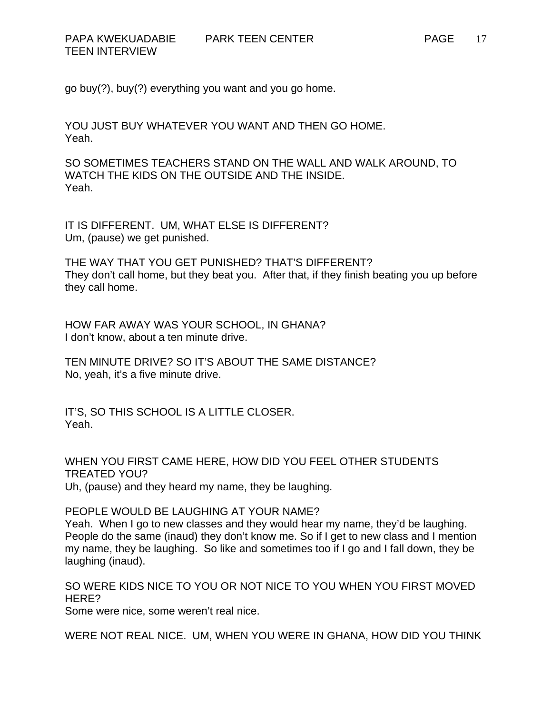go buy(?), buy(?) everything you want and you go home.

YOU JUST BUY WHATEVER YOU WANT AND THEN GO HOME. Yeah.

SO SOMETIMES TEACHERS STAND ON THE WALL AND WALK AROUND, TO WATCH THE KIDS ON THE OUTSIDE AND THE INSIDE. Yeah.

IT IS DIFFERENT. UM, WHAT ELSE IS DIFFERENT? Um, (pause) we get punished.

THE WAY THAT YOU GET PUNISHED? THAT'S DIFFERENT? They don't call home, but they beat you. After that, if they finish beating you up before they call home.

HOW FAR AWAY WAS YOUR SCHOOL, IN GHANA? I don't know, about a ten minute drive.

TEN MINUTE DRIVE? SO IT'S ABOUT THE SAME DISTANCE? No, yeah, it's a five minute drive.

IT'S, SO THIS SCHOOL IS A LITTLE CLOSER. Yeah.

WHEN YOU FIRST CAME HERE, HOW DID YOU FEEL OTHER STUDENTS TREATED YOU? Uh, (pause) and they heard my name, they be laughing.

PEOPLE WOULD BE LAUGHING AT YOUR NAME?

Yeah. When I go to new classes and they would hear my name, they'd be laughing. People do the same (inaud) they don't know me. So if I get to new class and I mention my name, they be laughing. So like and sometimes too if I go and I fall down, they be laughing (inaud).

SO WERE KIDS NICE TO YOU OR NOT NICE TO YOU WHEN YOU FIRST MOVED HERE?

Some were nice, some weren't real nice.

WERE NOT REAL NICE. UM, WHEN YOU WERE IN GHANA, HOW DID YOU THINK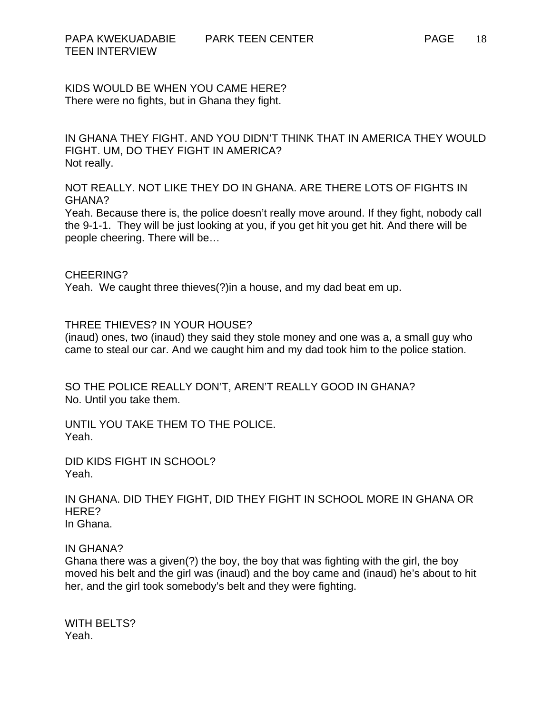KIDS WOULD BE WHEN YOU CAME HERE? There were no fights, but in Ghana they fight.

IN GHANA THEY FIGHT. AND YOU DIDN'T THINK THAT IN AMERICA THEY WOULD FIGHT. UM, DO THEY FIGHT IN AMERICA? Not really.

NOT REALLY. NOT LIKE THEY DO IN GHANA. ARE THERE LOTS OF FIGHTS IN GHANA?

Yeah. Because there is, the police doesn't really move around. If they fight, nobody call the 9-1-1. They will be just looking at you, if you get hit you get hit. And there will be people cheering. There will be…

CHEERING?

Yeah. We caught three thieves(?)in a house, and my dad beat em up.

THREE THIEVES? IN YOUR HOUSE?

(inaud) ones, two (inaud) they said they stole money and one was a, a small guy who came to steal our car. And we caught him and my dad took him to the police station.

SO THE POLICE REALLY DON'T, AREN'T REALLY GOOD IN GHANA? No. Until you take them.

UNTIL YOU TAKE THEM TO THE POLICE. Yeah.

DID KIDS FIGHT IN SCHOOL? Yeah.

IN GHANA. DID THEY FIGHT, DID THEY FIGHT IN SCHOOL MORE IN GHANA OR HERE? In Ghana.

IN GHANA?

Ghana there was a given(?) the boy, the boy that was fighting with the girl, the boy moved his belt and the girl was (inaud) and the boy came and (inaud) he's about to hit her, and the girl took somebody's belt and they were fighting.

WITH BELTS? Yeah.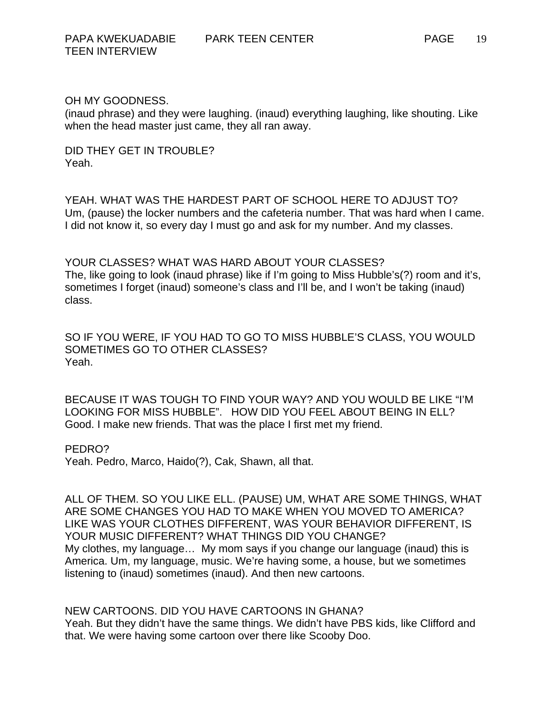### OH MY GOODNESS.

(inaud phrase) and they were laughing. (inaud) everything laughing, like shouting. Like when the head master just came, they all ran away.

DID THEY GET IN TROUBLE? Yeah.

YEAH. WHAT WAS THE HARDEST PART OF SCHOOL HERE TO ADJUST TO? Um, (pause) the locker numbers and the cafeteria number. That was hard when I came. I did not know it, so every day I must go and ask for my number. And my classes.

YOUR CLASSES? WHAT WAS HARD ABOUT YOUR CLASSES? The, like going to look (inaud phrase) like if I'm going to Miss Hubble's(?) room and it's, sometimes I forget (inaud) someone's class and I'll be, and I won't be taking (inaud) class.

SO IF YOU WERE, IF YOU HAD TO GO TO MISS HUBBLE'S CLASS, YOU WOULD SOMETIMES GO TO OTHER CLASSES? Yeah.

BECAUSE IT WAS TOUGH TO FIND YOUR WAY? AND YOU WOULD BE LIKE "I'M LOOKING FOR MISS HUBBLE". HOW DID YOU FEEL ABOUT BEING IN ELL? Good. I make new friends. That was the place I first met my friend.

#### PEDRO?

Yeah. Pedro, Marco, Haido(?), Cak, Shawn, all that.

ALL OF THEM. SO YOU LIKE ELL. (PAUSE) UM, WHAT ARE SOME THINGS, WHAT ARE SOME CHANGES YOU HAD TO MAKE WHEN YOU MOVED TO AMERICA? LIKE WAS YOUR CLOTHES DIFFERENT, WAS YOUR BEHAVIOR DIFFERENT, IS YOUR MUSIC DIFFERENT? WHAT THINGS DID YOU CHANGE? My clothes, my language… My mom says if you change our language (inaud) this is America. Um, my language, music. We're having some, a house, but we sometimes listening to (inaud) sometimes (inaud). And then new cartoons.

#### NEW CARTOONS. DID YOU HAVE CARTOONS IN GHANA?

Yeah. But they didn't have the same things. We didn't have PBS kids, like Clifford and that. We were having some cartoon over there like Scooby Doo.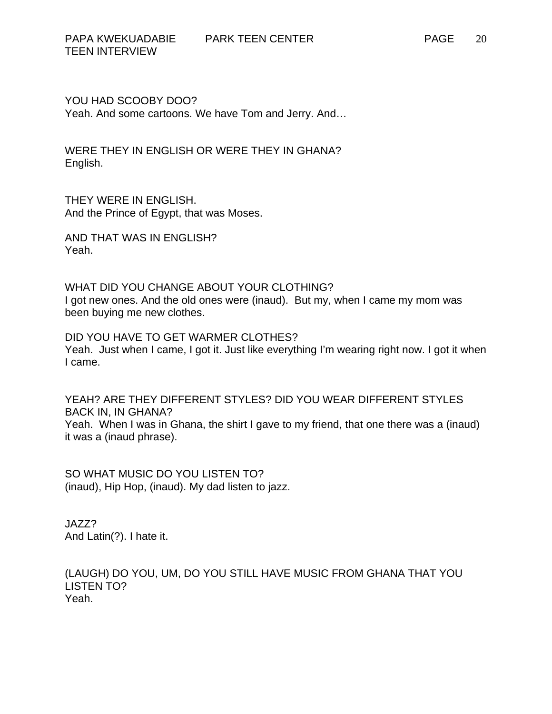YOU HAD SCOOBY DOO? Yeah. And some cartoons. We have Tom and Jerry. And…

WERE THEY IN ENGLISH OR WERE THEY IN GHANA? English.

THEY WERE IN ENGLISH. And the Prince of Egypt, that was Moses.

AND THAT WAS IN ENGLISH? Yeah.

WHAT DID YOU CHANGE ABOUT YOUR CLOTHING? I got new ones. And the old ones were (inaud). But my, when I came my mom was been buying me new clothes.

DID YOU HAVE TO GET WARMER CLOTHES? Yeah. Just when I came, I got it. Just like everything I'm wearing right now. I got it when I came.

YEAH? ARE THEY DIFFERENT STYLES? DID YOU WEAR DIFFERENT STYLES BACK IN, IN GHANA? Yeah. When I was in Ghana, the shirt I gave to my friend, that one there was a (inaud) it was a (inaud phrase).

SO WHAT MUSIC DO YOU LISTEN TO? (inaud), Hip Hop, (inaud). My dad listen to jazz.

JAZZ? And Latin(?). I hate it.

(LAUGH) DO YOU, UM, DO YOU STILL HAVE MUSIC FROM GHANA THAT YOU LISTEN TO? Yeah.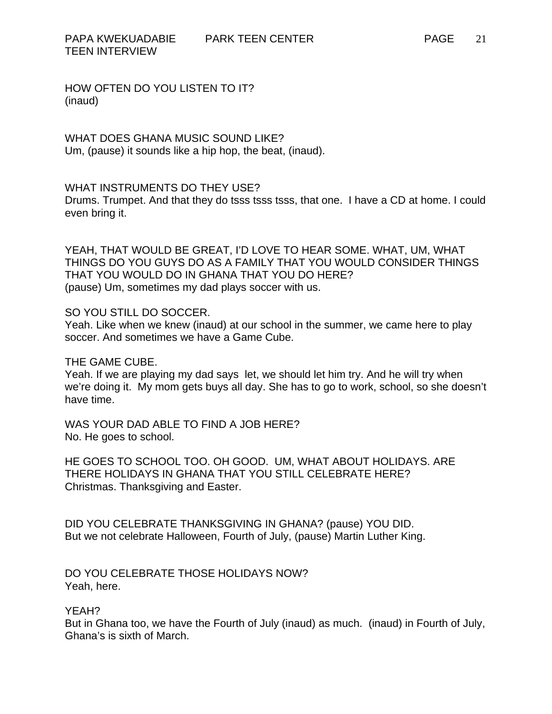HOW OFTEN DO YOU LISTEN TO IT? (inaud)

WHAT DOES GHANA MUSIC SOUND LIKE? Um, (pause) it sounds like a hip hop, the beat, (inaud).

# WHAT INSTRUMENTS DO THEY USE?

Drums. Trumpet. And that they do tsss tsss tsss, that one. I have a CD at home. I could even bring it.

YEAH, THAT WOULD BE GREAT, I'D LOVE TO HEAR SOME. WHAT, UM, WHAT THINGS DO YOU GUYS DO AS A FAMILY THAT YOU WOULD CONSIDER THINGS THAT YOU WOULD DO IN GHANA THAT YOU DO HERE? (pause) Um, sometimes my dad plays soccer with us.

### SO YOU STILL DO SOCCER.

Yeah. Like when we knew (inaud) at our school in the summer, we came here to play soccer. And sometimes we have a Game Cube.

# THE GAME CUBE.

Yeah. If we are playing my dad says let, we should let him try. And he will try when we're doing it. My mom gets buys all day. She has to go to work, school, so she doesn't have time.

WAS YOUR DAD ABLE TO FIND A JOB HERE? No. He goes to school.

HE GOES TO SCHOOL TOO. OH GOOD. UM, WHAT ABOUT HOLIDAYS. ARE THERE HOLIDAYS IN GHANA THAT YOU STILL CELEBRATE HERE? Christmas. Thanksgiving and Easter.

DID YOU CELEBRATE THANKSGIVING IN GHANA? (pause) YOU DID. But we not celebrate Halloween, Fourth of July, (pause) Martin Luther King.

DO YOU CELEBRATE THOSE HOLIDAYS NOW? Yeah, here.

# YEAH?

But in Ghana too, we have the Fourth of July (inaud) as much. (inaud) in Fourth of July, Ghana's is sixth of March.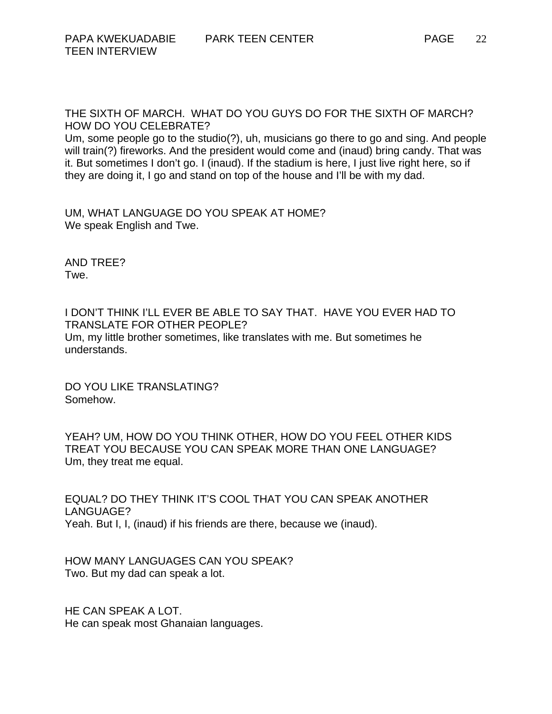THE SIXTH OF MARCH. WHAT DO YOU GUYS DO FOR THE SIXTH OF MARCH? HOW DO YOU CELEBRATE?

Um, some people go to the studio(?), uh, musicians go there to go and sing. And people will train(?) fireworks. And the president would come and (inaud) bring candy. That was it. But sometimes I don't go. I (inaud). If the stadium is here, I just live right here, so if they are doing it, I go and stand on top of the house and I'll be with my dad.

UM, WHAT LANGUAGE DO YOU SPEAK AT HOME? We speak English and Twe.

AND TREE? Twe.

I DON'T THINK I'LL EVER BE ABLE TO SAY THAT. HAVE YOU EVER HAD TO TRANSLATE FOR OTHER PEOPLE? Um, my little brother sometimes, like translates with me. But sometimes he understands.

DO YOU LIKE TRANSLATING? Somehow.

YEAH? UM, HOW DO YOU THINK OTHER, HOW DO YOU FEEL OTHER KIDS TREAT YOU BECAUSE YOU CAN SPEAK MORE THAN ONE LANGUAGE? Um, they treat me equal.

EQUAL? DO THEY THINK IT'S COOL THAT YOU CAN SPEAK ANOTHER LANGUAGE? Yeah. But I, I, (inaud) if his friends are there, because we (inaud).

HOW MANY LANGUAGES CAN YOU SPEAK? Two. But my dad can speak a lot.

HE CAN SPEAK A LOT. He can speak most Ghanaian languages.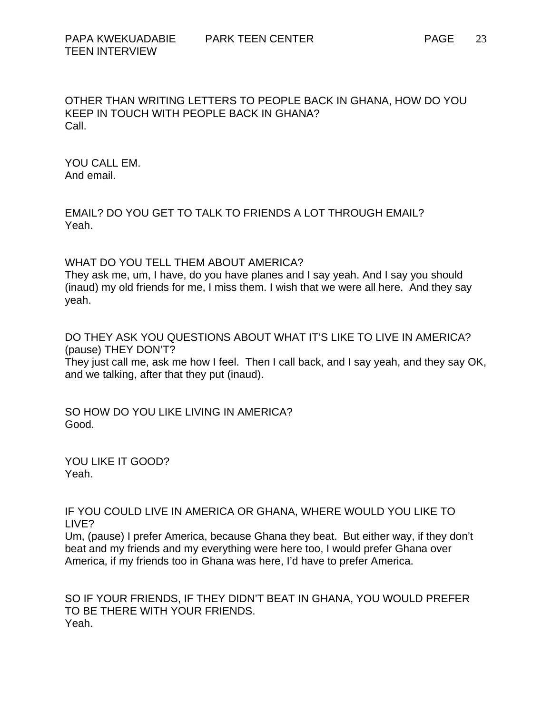OTHER THAN WRITING LETTERS TO PEOPLE BACK IN GHANA, HOW DO YOU KEEP IN TOUCH WITH PEOPLE BACK IN GHANA? Call.

YOU CALL EM. And email.

EMAIL? DO YOU GET TO TALK TO FRIENDS A LOT THROUGH EMAIL? Yeah.

WHAT DO YOU TELL THEM ABOUT AMERICA?

They ask me, um, I have, do you have planes and I say yeah. And I say you should (inaud) my old friends for me, I miss them. I wish that we were all here. And they say yeah.

DO THEY ASK YOU QUESTIONS ABOUT WHAT IT'S LIKE TO LIVE IN AMERICA? (pause) THEY DON'T?

They just call me, ask me how I feel. Then I call back, and I say yeah, and they say OK, and we talking, after that they put (inaud).

SO HOW DO YOU LIKE LIVING IN AMERICA? Good.

YOU LIKE IT GOOD? Yeah.

IF YOU COULD LIVE IN AMERICA OR GHANA, WHERE WOULD YOU LIKE TO LIVE?

Um, (pause) I prefer America, because Ghana they beat. But either way, if they don't beat and my friends and my everything were here too, I would prefer Ghana over America, if my friends too in Ghana was here, I'd have to prefer America.

SO IF YOUR FRIENDS, IF THEY DIDN'T BEAT IN GHANA, YOU WOULD PREFER TO BE THERE WITH YOUR FRIENDS. Yeah.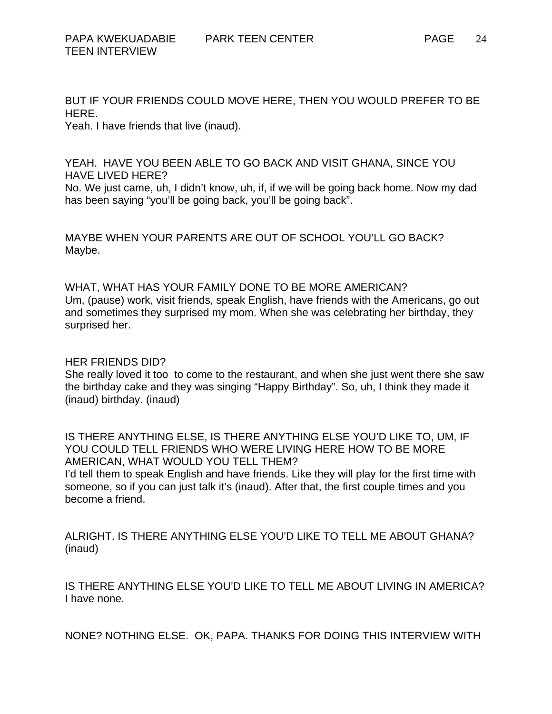BUT IF YOUR FRIENDS COULD MOVE HERE, THEN YOU WOULD PREFER TO BE HERE.

Yeah. I have friends that live (inaud).

YEAH. HAVE YOU BEEN ABLE TO GO BACK AND VISIT GHANA, SINCE YOU HAVE LIVED HERE?

No. We just came, uh, I didn't know, uh, if, if we will be going back home. Now my dad has been saying "you'll be going back, you'll be going back".

MAYBE WHEN YOUR PARENTS ARE OUT OF SCHOOL YOU'LL GO BACK? Maybe.

WHAT, WHAT HAS YOUR FAMILY DONE TO BE MORE AMERICAN? Um, (pause) work, visit friends, speak English, have friends with the Americans, go out and sometimes they surprised my mom. When she was celebrating her birthday, they surprised her.

HER FRIENDS DID?

She really loved it too to come to the restaurant, and when she just went there she saw the birthday cake and they was singing "Happy Birthday". So, uh, I think they made it (inaud) birthday. (inaud)

IS THERE ANYTHING ELSE, IS THERE ANYTHING ELSE YOU'D LIKE TO, UM, IF YOU COULD TELL FRIENDS WHO WERE LIVING HERE HOW TO BE MORE AMERICAN, WHAT WOULD YOU TELL THEM? I'd tell them to speak English and have friends. Like they will play for the first time with someone, so if you can just talk it's (inaud). After that, the first couple times and you become a friend.

ALRIGHT. IS THERE ANYTHING ELSE YOU'D LIKE TO TELL ME ABOUT GHANA? (inaud)

IS THERE ANYTHING ELSE YOU'D LIKE TO TELL ME ABOUT LIVING IN AMERICA? I have none.

NONE? NOTHING ELSE. OK, PAPA. THANKS FOR DOING THIS INTERVIEW WITH